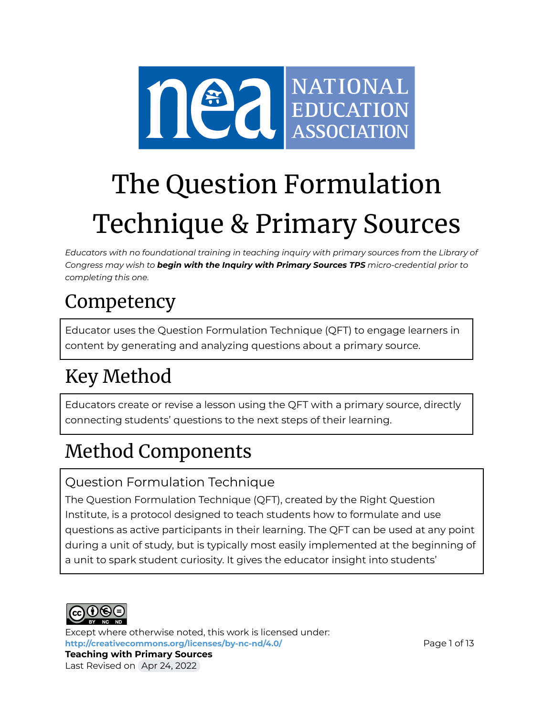

# The Question Formulation Technique & Primary Sources

*Educators with no foundational training in teaching inquiry with primary sources from the Library of Congress may wish to begin with the Inquiry with Primary Sources TPS micro-credential prior to completing this one.*

# **Competency**

Educator uses the Question Formulation Technique (QFT) to engage learners in content by generating and analyzing questions about a primary source.

# Key Method

Educators create or revise a lesson using the QFT with a primary source, directly connecting students' questions to the next steps of their learning.

# Method Components

### Question Formulation Technique

The Question Formulation Technique (QFT), created by the Right Question Institute, is a protocol designed to teach students how to formulate and use questions as active participants in their learning. The QFT can be used at any point during a unit of study, but is typically most easily implemented at the beginning of a unit to spark student curiosity. It gives the educator insight into students'



Last Revised on Apr 24, 2022

Except where otherwise noted, this work is licensed under: <http://creativecommons.org/licenses/by-nc-nd/4.0/> **Page 1 of 13 Teaching with Primary Sources**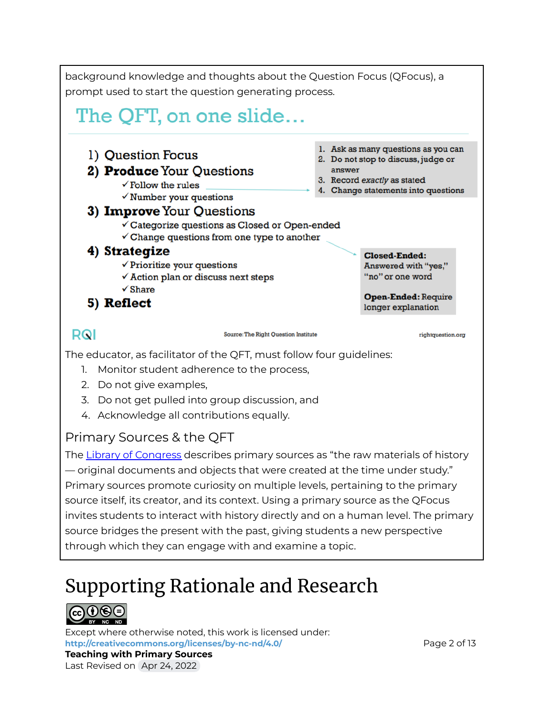background knowledge and thoughts about the Question Focus (QFocus), a prompt used to start the question generating process.

# The QFT, on one slide...



The educator, as facilitator of the QFT, must follow four guidelines:

- 1. Monitor student adherence to the process,
- 2. Do not give examples,
- 3. Do not get pulled into group discussion, and
- 4. Acknowledge all contributions equally.

### Primary Sources & the QFT

The Library of [Congress](https://www.loc.gov/programs/teachers/getting-started-with-primary-sources/) describes primary sources as "the raw materials of history — original documents and objects that were created at the time under study." Primary sources promote curiosity on multiple levels, pertaining to the primary source itself, its creator, and its context. Using a primary source as the QFocus invites students to interact with history directly and on a human level. The primary source bridges the present with the past, giving students a new perspective through which they can engage with and examine a topic.

# Supporting Rationale and Research



Except where otherwise noted, this work is licensed under: <http://creativecommons.org/licenses/by-nc-nd/4.0/> **Page 2 of 13**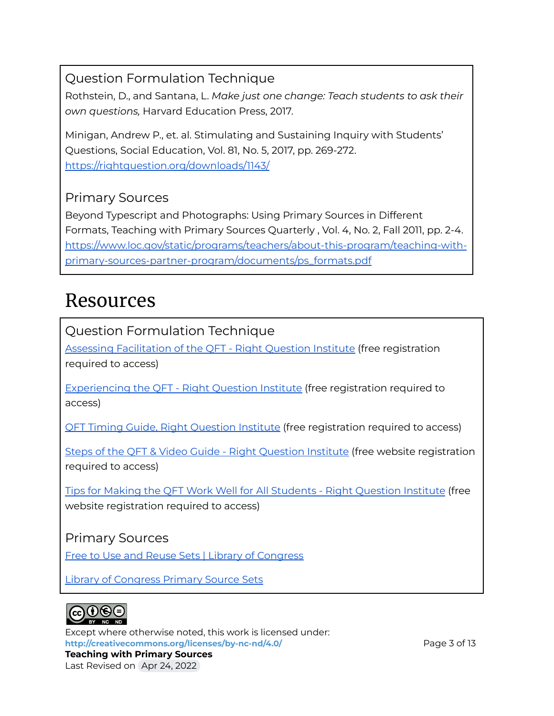### Question Formulation Technique

Rothstein, D., and Santana, L. *Make just one change: Teach students to ask their own questions,* Harvard Education Press, 2017.

Minigan, Andrew P., et. al. Stimulating and Sustaining Inquiry with Students' Questions, Social Education, Vol. 81, No. 5, 2017, pp. 269-272. <https://rightquestion.org/downloads/1143/>

### Primary Sources

Beyond Typescript and Photographs: Using Primary Sources in Different Formats, Teaching with Primary Sources Quarterly , Vol. 4, No. 2, Fall 2011, pp. 2-4. [https://www.loc.gov/static/programs/teachers/about-this-program/teaching-with](https://www.loc.gov/static/programs/teachers/about-this-program/teaching-with-primary-sources-partner-program/documents/ps_formats.pdf)[primary-sources-partner-program/documents/ps\\_formats.pdf](https://www.loc.gov/static/programs/teachers/about-this-program/teaching-with-primary-sources-partner-program/documents/ps_formats.pdf)

### Resources

Question Formulation Technique

Assessing [Facilitation](https://rightquestion.org/resources/assessing-facilitation-of-the-qft/) of the QFT - Right Question Institute (free registration required to access)

[Experiencing](https://rightquestion.org/resources/experiencing-the-qft/) the QFT - Right Question Institute (free registration required to access)

QFT Timing Guide, Right [Question](https://rightquestion.org/resources/qft-timing-guide/) Institute (free registration required to access)

Steps of the QFT & Video Guide - Right [Question](https://rightquestion.org/resources/steps-of-the-question-formulation-technique-qft-video-guide/) Institute (free website registration required to access)

Tips for Making the QFT Work Well for All Students - Right [Question](https://rightquestion.org/resources/tips-making-the-qft-work-well-for-all-students/) Institute (free website registration required to access)

### Primary Sources

Free to Use and Reuse Sets | Library of [Congress](https://www.loc.gov/free-to-use/)

Library of [Congress](https://www.loc.gov/programs/teachers/classroom-materials/primary-source-sets) Primary Source Sets



Except where otherwise noted, this work is licensed under: <http://creativecommons.org/licenses/by-nc-nd/4.0/><br> **Page 3 of 13**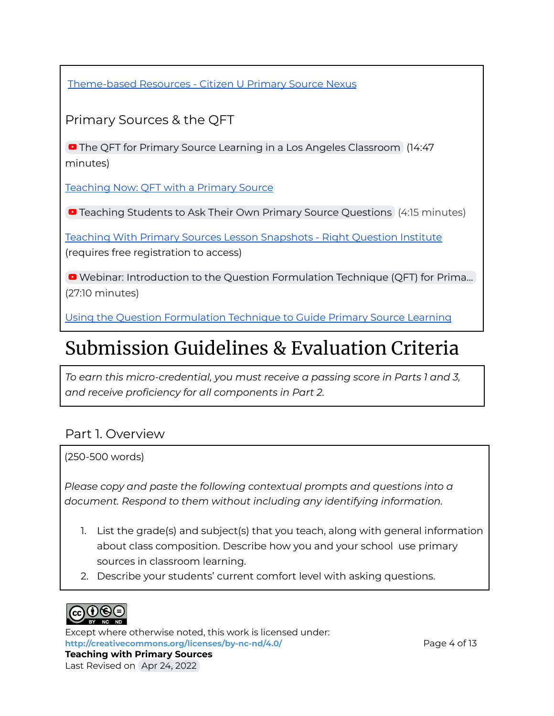[Theme-based](https://primarysourcenexus.org/primary-source-collections/themed-based-resources/) Resources - Citizen U Primary Source Nexus

Primary Sources & the QFT

**D** The QFT for Primary Source Learning in a Los Angeles [Classroom](https://youtu.be/zFT0jsCe9R8) (14:47) minutes)

[Teaching](https://primarysourcenexus.org/2021/04/teaching-now-qft-with-a-primary-source/) Now: QFT with a Primary Source

**D** Teaching Students to Ask Their Own Primary Source [Questions](https://youtu.be/TPvxNoMBMVg) (4:15 minutes)

Teaching With Primary Sources Lesson [Snapshots](https://rightquestion.org/resources/qft-primary-source-lesson-snapshots/) - Right Question Institute (requires free registration to access)

■ Webinar: [Introduction](https://youtu.be/BaOhMFKCDQ4) to the Question Formulation Technique (QFT) for Prima... (27:10 minutes)

Using the Question [Formulation](https://www.ebsco.com/blogs/ebscopost/using-question-formulation-technique-guide-primary-source-learning) Technique to Guide Primary Source Learning

### Submission Guidelines & Evaluation Criteria

*To earn this micro-credential, you must receive a passing score in Parts 1 and 3, and receive proficiency for all components in Part 2.*

### Part 1. Overview

(250-500 words)

*Please copy and paste the following contextual prompts and questions into a document. Respond to them without including any identifying information.*

- 1. List the grade(s) and subject(s) that you teach, along with general information about class composition. Describe how you and your school use primary sources in classroom learning.
- 2. Describe your students' current comfort level with asking questions.



Except where otherwise noted, this work is licensed under: **<http://creativecommons.org/licenses/by-nc-nd/4.0/>** Page 4 of 13 **Teaching with Primary Sources** Last Revised on Apr 24, 2022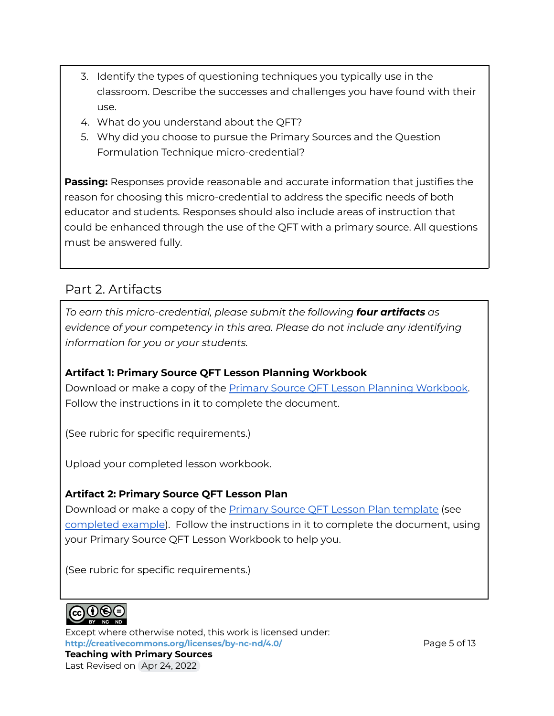- 3. Identify the types of questioning techniques you typically use in the classroom. Describe the successes and challenges you have found with their use.
- 4. What do you understand about the QFT?
- 5. Why did you choose to pursue the Primary Sources and the Question Formulation Technique micro-credential?

**Passing:** Responses provide reasonable and accurate information that justifies the reason for choosing this micro-credential to address the specific needs of both educator and students. Responses should also include areas of instruction that could be enhanced through the use of the QFT with a primary source. All questions must be answered fully.

### Part 2. Artifacts

*To earn this micro-credential, please submit the following four artifacts as evidence of your competency in this area. Please do not include any identifying information for you or your students.*

**Artifact 1: Primary Source QFT Lesson Planning Workbook** Download or make a copy of the Primary Source QFT Lesson Planning [Workbook.](https://docs.google.com/document/d/1zrMxnvZbgpgCyNiFElAM4XUd1JH9Ou-OXEIcvpcSpwo/view) Follow the [instructions](https://docs.google.com/document/d/1zrMxnvZbgpgCyNiFElAM4XUd1JH9Ou-OXEIcvpcSpwo/view) in it to complete the document.

(See rubric for specific requirements.)

Upload your completed lesson workbook.

#### **Artifact 2: Primary Source QFT Lesson Plan**

Download or make a copy of the **Primary Source QFT Lesson Plan [template](https://docs.google.com/document/d/1wC6QFhgcAVg_Fvxwj3dKi6v5VbUVgLMoj4h3DoOyeLM/edit?usp=sharing)** (see [completed](https://docs.google.com/document/d/1bYJBDk2JMiI9AYo9Ij9EyMdfwvyd7d4Vche-_mqJpQY/view) example). Follow the instructions in it to complete the document, using your Primary Source QFT Lesson Workbook to help you.

(See rubric for specific requirements.)



Last Revised on Apr 24, 2022

Except where otherwise noted, this work is licensed under: **<http://creativecommons.org/licenses/by-nc-nd/4.0/>** Page 5 of 13 **Teaching with Primary Sources**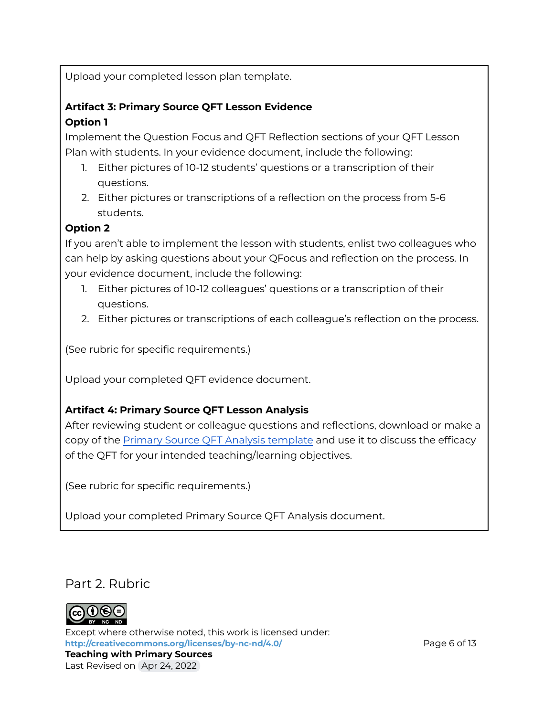Upload your completed lesson plan template.

#### **Artifact 3: Primary Source QFT Lesson Evidence Option 1**

Implement the Question Focus and QFT Reflection sections of your QFT Lesson Plan with students. In your evidence document, include the following:

- 1. Either pictures of 10-12 students' questions or a transcription of their questions.
- 2. Either pictures or transcriptions of a reflection on the process from 5-6 students.

#### **Option 2**

If you aren't able to implement the lesson with students, enlist two colleagues who can help by asking questions about your QFocus and reflection on the process. In your evidence document, include the following:

- 1. Either pictures of 10-12 colleagues' questions or a transcription of their questions.
- 2. Either pictures or transcriptions of each colleague's reflection on the process.

(See rubric for specific requirements.)

Upload your completed QFT evidence document.

#### **Artifact 4: Primary Source QFT Lesson Analysis**

After reviewing student or colleague questions and reflections, download or make a copy of the Primary Source QFT Analysis [template](https://docs.google.com/document/d/1aCE9zJOu08OAFAlSQ8sCQVdwNbAg6Yu7acTlTeQwp5c/view) and use it to discuss the efficacy of the QFT for your intended teaching/learning objectives.

(See rubric for specific requirements.)

Upload your completed Primary Source QFT Analysis document.

Part 2. Rubric



Except where otherwise noted, this work is licensed under: **<http://creativecommons.org/licenses/by-nc-nd/4.0/>** Page 6 of 13 **Teaching with Primary Sources** Last Revised on Apr 24, 2022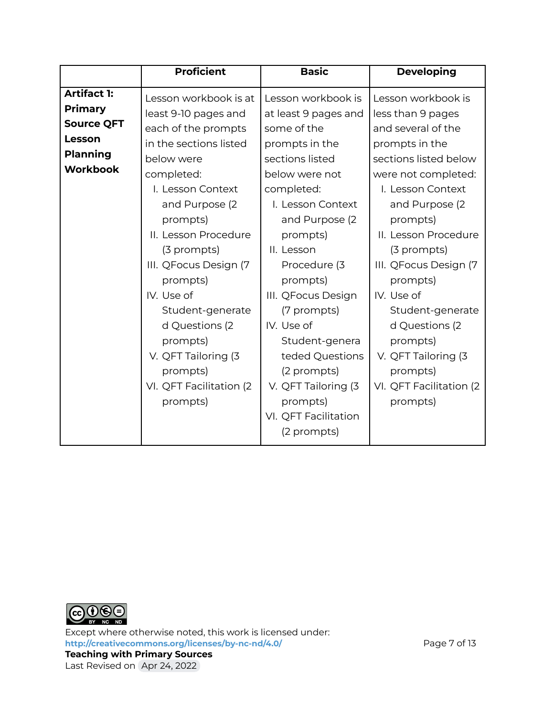|                                                                                     | <b>Proficient</b>                                                                                                                                                                                                                                                                                  | <b>Basic</b>                                                                                                                                                                                                                                                                | <b>Developing</b>                                                                                                                                                                                                                                                                                          |
|-------------------------------------------------------------------------------------|----------------------------------------------------------------------------------------------------------------------------------------------------------------------------------------------------------------------------------------------------------------------------------------------------|-----------------------------------------------------------------------------------------------------------------------------------------------------------------------------------------------------------------------------------------------------------------------------|------------------------------------------------------------------------------------------------------------------------------------------------------------------------------------------------------------------------------------------------------------------------------------------------------------|
| <b>Artifact 1:</b>                                                                  | Lesson workbook is at                                                                                                                                                                                                                                                                              | Lesson workbook is                                                                                                                                                                                                                                                          | Lesson workbook is                                                                                                                                                                                                                                                                                         |
| <b>Primary</b><br><b>Source QFT</b><br>Lesson<br><b>Planning</b><br><b>Workbook</b> | least 9-10 pages and<br>each of the prompts<br>in the sections listed<br>below were<br>completed:<br>I. Lesson Context<br>and Purpose (2)<br>prompts)<br>II. Lesson Procedure<br>(3 prompts)<br>III. QFocus Design (7<br>prompts)<br>IV. Use of<br>Student-generate<br>d Questions (2)<br>prompts) | at least 9 pages and<br>some of the<br>prompts in the<br>sections listed<br>below were not<br>completed:<br>I. Lesson Context<br>and Purpose (2)<br>prompts)<br>II. Lesson<br>Procedure (3<br>prompts)<br>III. QFocus Design<br>(7 prompts)<br>IV. Use of<br>Student-genera | less than 9 pages<br>and several of the<br>prompts in the<br>sections listed below<br>were not completed:<br>I. Lesson Context<br>and Purpose (2)<br>prompts)<br>II. Lesson Procedure<br>(3 prompts)<br>III. QFocus Design (7<br>prompts)<br>IV. Use of<br>Student-generate<br>d Questions (2)<br>prompts) |
|                                                                                     | V. QFT Tailoring (3<br>prompts)<br>VI. QFT Facilitation (2<br>prompts)                                                                                                                                                                                                                             | teded Questions<br>(2 prompts)<br>V. QFT Tailoring (3<br>prompts)<br>VI. QFT Facilitation                                                                                                                                                                                   | V. QFT Tailoring (3<br>prompts)<br>VI. QFT Facilitation (2<br>prompts)                                                                                                                                                                                                                                     |
|                                                                                     |                                                                                                                                                                                                                                                                                                    | (2 prompts)                                                                                                                                                                                                                                                                 |                                                                                                                                                                                                                                                                                                            |



Except where otherwise noted, this work is licensed under: **<http://creativecommons.org/licenses/by-nc-nd/4.0/>** Page 7 of 13 **Teaching with Primary Sources** Last Revised on Apr 24, 2022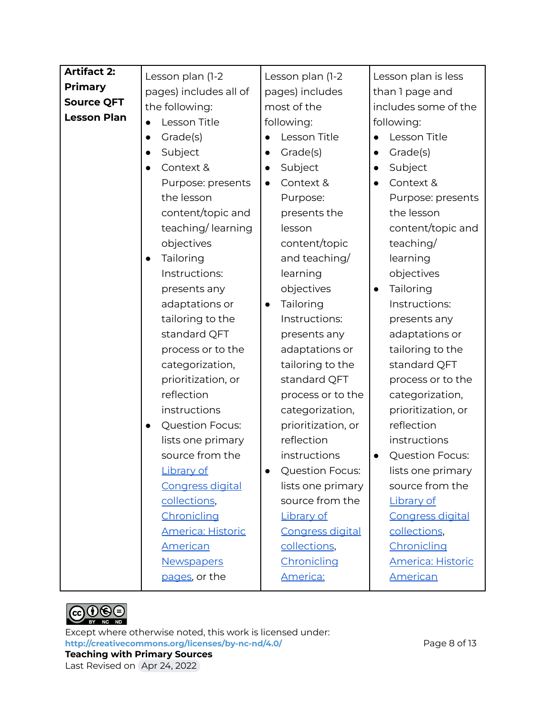| Artifact 2:        | Lesson plan (1-2                    | Lesson plan (1-2        | Lesson plan is less      |
|--------------------|-------------------------------------|-------------------------|--------------------------|
| <b>Primary</b>     | pages) includes all of              | pages) includes         | than I page and          |
| <b>Source QFT</b>  | the following:                      | most of the             | includes some of the     |
| <b>Lesson Plan</b> | Lesson Title<br>$\bullet$           | following:              | following:               |
|                    | Grade(s)<br>$\bullet$               | Lesson Title            | Lesson Title             |
|                    | Subject                             | Grade(s)                | Grade(s)                 |
|                    | Context &<br>$\bullet$              | Subject<br>$\bullet$    | Subject<br>$\bullet$     |
|                    | Purpose: presents                   | Context &<br>$\bullet$  | Context &                |
|                    | the lesson                          | Purpose:                | Purpose: presents        |
|                    | content/topic and                   | presents the            | the lesson               |
|                    | teaching/learning                   | lesson                  | content/topic and        |
|                    | objectives                          | content/topic           | teaching/                |
|                    | Tailoring<br>$\bullet$              | and teaching/           | learning                 |
|                    | Instructions:                       | learning                | objectives               |
|                    | presents any                        | objectives              | Tailoring                |
|                    | adaptations or                      | Tailoring<br>$\bullet$  | Instructions:            |
|                    | tailoring to the                    | Instructions:           | presents any             |
|                    | standard QFT                        | presents any            | adaptations or           |
|                    | process or to the                   | adaptations or          | tailoring to the         |
|                    | categorization,                     | tailoring to the        | standard QFT             |
|                    | prioritization, or                  | standard QFT            | process or to the        |
|                    | reflection                          | process or to the       | categorization,          |
|                    | instructions                        | categorization,         | prioritization, or       |
|                    | <b>Question Focus:</b><br>$\bullet$ | prioritization, or      | reflection               |
|                    | lists one primary                   | reflection              | instructions             |
|                    | source from the                     | instructions            | Question Focus:          |
|                    | <b>Library of</b>                   | Question Focus:         | lists one primary        |
|                    | <b>Congress digital</b>             | lists one primary       | source from the          |
|                    | collections,                        | source from the         | Library of               |
|                    | Chronicling                         | Library of              | <b>Congress digital</b>  |
|                    | <b>America: Historic</b>            | <b>Congress digital</b> | collections,             |
|                    | American                            | collections,            | Chronicling              |
|                    | <b>Newspapers</b>                   | Chronicling             | <b>America: Historic</b> |
|                    | pages, or the                       | America:                | <b>American</b>          |

 $CDQO$ 

Except where otherwise noted, this work is licensed under: <http://creativecommons.org/licenses/by-nc-nd/4.0/><br>
Page 8 of 13 **Teaching with Primary Sources** Last Revised on Apr 24, 2022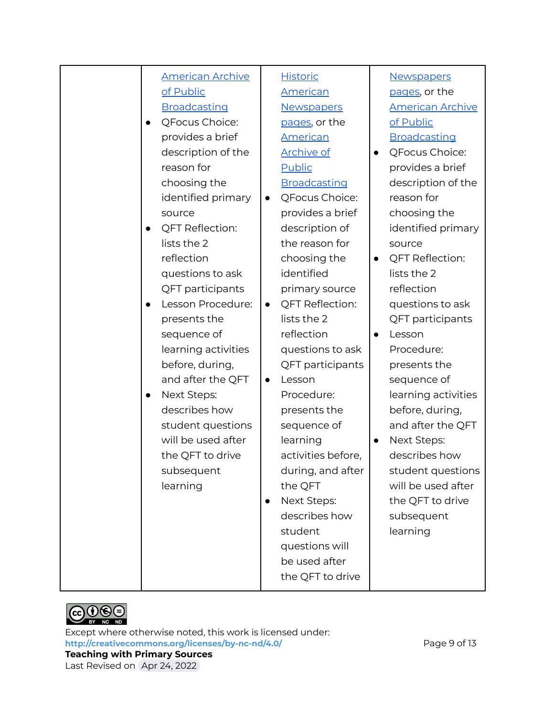| <b>American Archive</b>  | <b>Historic</b>                     | Newspapers              |
|--------------------------|-------------------------------------|-------------------------|
| of Public                | <u>American</u>                     | pages, or the           |
| Broadcasting             | <b>Newspapers</b>                   | <b>American Archive</b> |
| QFocus Choice:           | pages, or the                       | of Public               |
| provides a brief         | <b>American</b>                     | Broadcasting            |
| description of the       | <b>Archive of</b>                   | QFocus Choice:          |
| reason for               | <b>Public</b>                       | provides a brief        |
| choosing the             | <b>Broadcasting</b>                 | description of the      |
| identified primary       | QFocus Choice:<br>$\bullet$         | reason for              |
| source                   | provides a brief                    | choosing the            |
| <b>QFT Reflection:</b>   | description of                      | identified primary      |
| lists the 2              | the reason for                      | source                  |
| reflection               | choosing the                        | <b>QFT Reflection:</b>  |
| questions to ask         | identified                          | lists the 2             |
| QFT participants         | primary source                      | reflection              |
| Lesson Procedure:        | <b>QFT Reflection:</b><br>$\bullet$ | questions to ask        |
| presents the             | lists the 2                         | QFT participants        |
| sequence of              | reflection                          | Lesson                  |
| learning activities      | questions to ask                    | Procedure:              |
| before, during,          | QFT participants                    | presents the            |
| and after the QFT        | Lesson<br>$\bullet$                 | sequence of             |
| Next Steps:<br>$\bullet$ | Procedure:                          | learning activities     |
| describes how            | presents the                        | before, during,         |
| student questions        | sequence of                         | and after the QFT       |
| will be used after       | learning                            | Next Steps:             |
| the QFT to drive         | activities before,                  | describes how           |
| subsequent               | during, and after                   | student questions       |
| learning                 | the QFT                             | will be used after      |
|                          | Next Steps:<br>$\bullet$            | the QFT to drive        |
|                          | describes how                       | subsequent              |
|                          | student                             | learning                |
|                          | questions will                      |                         |
|                          | be used after                       |                         |
|                          | the QFT to drive                    |                         |
|                          |                                     |                         |



Except where otherwise noted, this work is licensed under: <http://creativecommons.org/licenses/by-nc-nd/4.0/><br>
Page 9 of 13 **Teaching with Primary Sources** Last Revised on Apr 24, 2022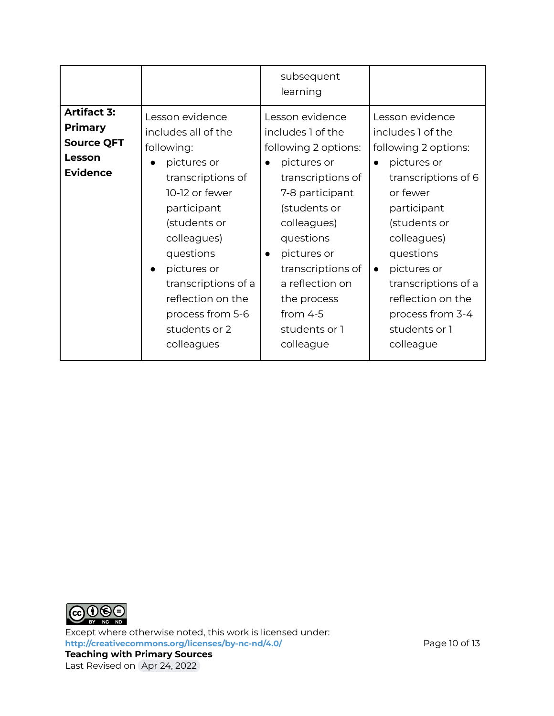|                                                                                        |                                                                                                                                                                                                                                                                                                  | subsequent<br>learning                                                                                                                                                                                                                                                                                      |                                                                                                                                                                                                                                                                                                                  |
|----------------------------------------------------------------------------------------|--------------------------------------------------------------------------------------------------------------------------------------------------------------------------------------------------------------------------------------------------------------------------------------------------|-------------------------------------------------------------------------------------------------------------------------------------------------------------------------------------------------------------------------------------------------------------------------------------------------------------|------------------------------------------------------------------------------------------------------------------------------------------------------------------------------------------------------------------------------------------------------------------------------------------------------------------|
| <b>Artifact 3:</b><br><b>Primary</b><br><b>Source QFT</b><br>Lesson<br><b>Evidence</b> | Lesson evidence<br>includes all of the<br>following:<br>pictures or<br>transcriptions of<br>10-12 or fewer<br>participant<br>(students or<br>colleagues)<br>questions<br>pictures or<br>$\bullet$<br>transcriptions of a<br>reflection on the<br>process from 5-6<br>students or 2<br>colleagues | Lesson evidence<br>includes 1 of the<br>following 2 options:<br>pictures or<br>$\bullet$<br>transcriptions of<br>7-8 participant<br>(students or<br>colleagues)<br>questions<br>pictures or<br>$\bullet$<br>transcriptions of<br>a reflection on<br>the process<br>from $4-5$<br>students or 1<br>colleague | Lesson evidence<br>includes 1 of the<br>following 2 options:<br>pictures or<br>$\bullet$<br>transcriptions of 6<br>or fewer<br>participant<br>(students or<br>colleagues)<br>questions<br>pictures or<br>$\bullet$<br>transcriptions of a<br>reflection on the<br>process from 3-4<br>students or 1<br>colleague |



Except where otherwise noted, this work is licensed under: **<http://creativecommons.org/licenses/by-nc-nd/4.0/>** Page 10 of 13 **Teaching with Primary Sources** Last Revised on Apr 24, 2022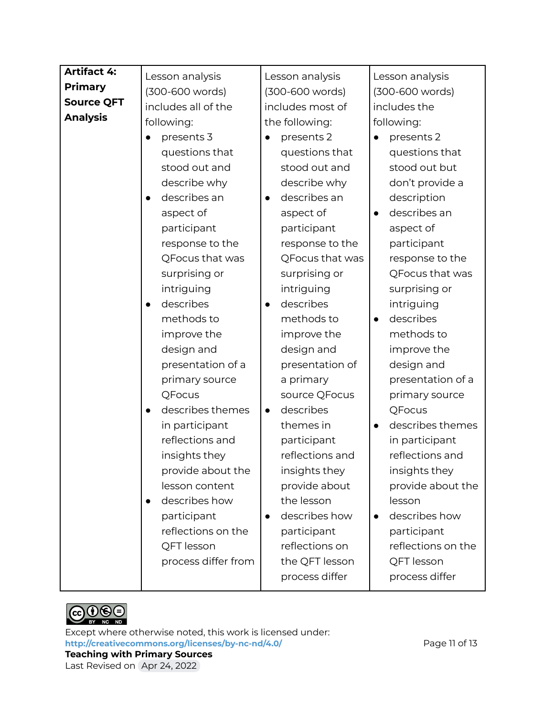| <b>Artifact 4:</b> | Lesson analysis               | Lesson analysis           | Lesson analysis               |
|--------------------|-------------------------------|---------------------------|-------------------------------|
| <b>Primary</b>     | (300-600 words)               | (300-600 words)           | (300-600 words)               |
| <b>Source QFT</b>  | includes all of the           | includes most of          | includes the                  |
| <b>Analysis</b>    | following:                    | the following:            | following:                    |
|                    | presents 3<br>$\bullet$       | presents 2                | presents 2                    |
|                    | questions that                | questions that            | questions that                |
|                    | stood out and                 | stood out and             | stood out but                 |
|                    | describe why                  | describe why              | don't provide a               |
|                    | describes an<br>$\bullet$     | describes an<br>$\bullet$ | description                   |
|                    | aspect of                     | aspect of                 | describes an                  |
|                    | participant                   | participant               | aspect of                     |
|                    | response to the               | response to the           | participant                   |
|                    | QFocus that was               | QFocus that was           | response to the               |
|                    | surprising or                 | surprising or             | QFocus that was               |
|                    | intriguing                    | intriguing                | surprising or                 |
|                    | describes<br>$\bullet$        | describes<br>$\bullet$    | intriguing                    |
|                    | methods to                    | methods to                | describes<br>$\bullet$        |
|                    | improve the                   | improve the               | methods to                    |
|                    | design and                    | design and                | improve the                   |
|                    | presentation of a             | presentation of           | design and                    |
|                    | primary source                | a primary                 | presentation of a             |
|                    | QFocus                        | source QFocus             | primary source                |
|                    | describes themes<br>$\bullet$ | describes<br>$\bullet$    | QFocus                        |
|                    | in participant                | themes in                 | describes themes<br>$\bullet$ |
|                    | reflections and               | participant               | in participant                |
|                    | insights they                 | reflections and           | reflections and               |
|                    | provide about the             | insights they             | insights they                 |
|                    | lesson content                | provide about             | provide about the             |
|                    | describes how<br>$\bullet$    | the lesson                | lesson                        |
|                    | participant                   | describes how             | describes how                 |
|                    | reflections on the            | participant               | participant                   |
|                    | QFT lesson                    | reflections on            | reflections on the            |
|                    | process differ from           | the QFT lesson            | QFT lesson                    |
|                    |                               | process differ            | process differ                |



Except where otherwise noted, this work is licensed under: **<http://creativecommons.org/licenses/by-nc-nd/4.0/>** Page 11 of 13 **Teaching with Primary Sources** Last Revised on Apr 24, 2022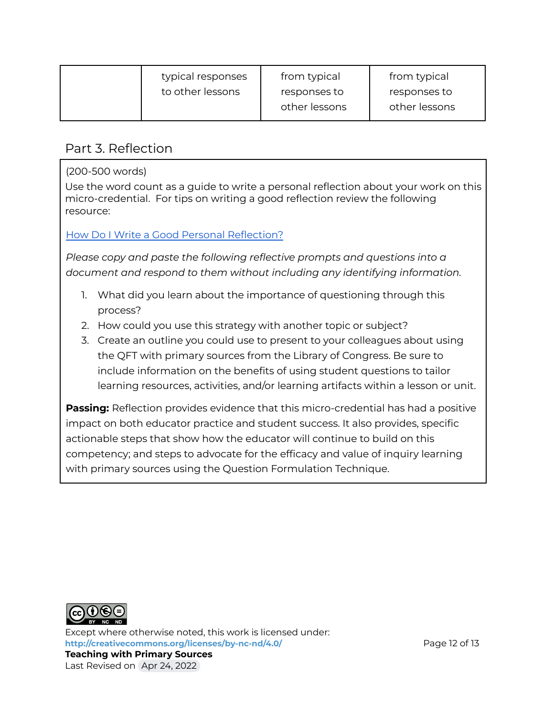| typical responses | from typical  | from typical  |
|-------------------|---------------|---------------|
| to other lessons  | responses to  | responses to  |
|                   | other lessons | other lessons |

#### Part 3. Reflection

(200-500 words)

Use the word count as a guide to write a personal reflection about your work on this micro-credential. For tips on writing a good reflection review the following resource:

#### How Do I Write a Good Personal [Reflection?](https://isthismystory.com/learning/how-do-i-write-a-good-personal-reflection/)

*Please copy and paste the following reflective prompts and questions into a document and respond to them without including any identifying information.*

- 1. What did you learn about the importance of questioning through this process?
- 2. How could you use this strategy with another topic or subject?
- 3. Create an outline you could use to present to your colleagues about using the QFT with primary sources from the Library of Congress. Be sure to include information on the benefits of using student questions to tailor learning resources, activities, and/or learning artifacts within a lesson or unit.

**Passing:** Reflection provides evidence that this micro-credential has had a positive impact on both educator practice and student success. It also provides, specific actionable steps that show how the educator will continue to build on this competency; and steps to advocate for the efficacy and value of inquiry learning with primary sources using the Question Formulation Technique.



Except where otherwise noted, this work is licensed under: <http://creativecommons.org/licenses/by-nc-nd/4.0/> **Page 12 of 13 Teaching with Primary Sources** Last Revised on Apr 24, 2022